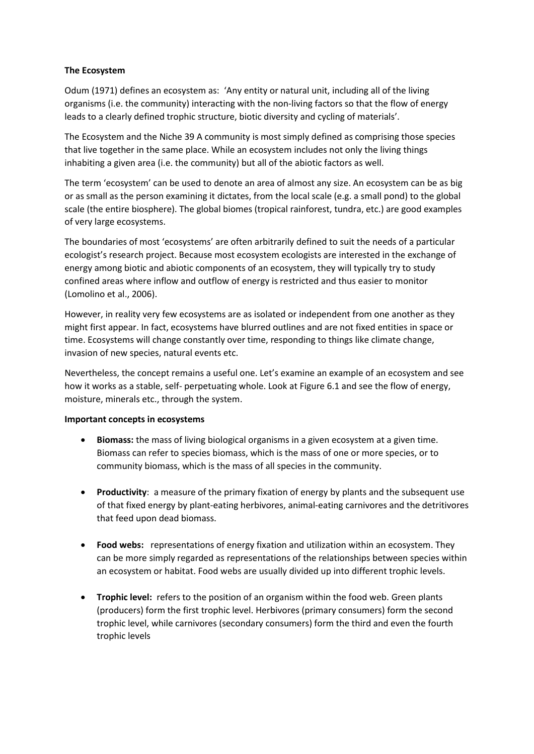## **The Ecosystem**

Odum (1971) defines an ecosystem as: 'Any entity or natural unit, including all of the living organisms (i.e. the community) interacting with the non‐living factors so that the flow of energy leads to a clearly defined trophic structure, biotic diversity and cycling of materials'.

The Ecosystem and the Niche 39 A community is most simply defined as comprising those species that live together in the same place. While an ecosystem includes not only the living things inhabiting a given area (i.e. the community) but all of the abiotic factors as well.

The term 'ecosystem' can be used to denote an area of almost any size. An ecosystem can be as big or as small as the person examining it dictates, from the local scale (e.g. a small pond) to the global scale (the entire biosphere). The global biomes (tropical rainforest, tundra, etc.) are good examples of very large ecosystems.

The boundaries of most 'ecosystems' are often arbitrarily defined to suit the needs of a particular ecologist's research project. Because most ecosystem ecologists are interested in the exchange of energy among biotic and abiotic components of an ecosystem, they will typically try to study confined areas where inflow and outflow of energy is restricted and thus easier to monitor (Lomolino et al., 2006).

However, in reality very few ecosystems are as isolated or independent from one another as they might first appear. In fact, ecosystems have blurred outlines and are not fixed entities in space or time. Ecosystems will change constantly over time, responding to things like climate change, invasion of new species, natural events etc.

Nevertheless, the concept remains a useful one. Let's examine an example of an ecosystem and see how it works as a stable, self‐ perpetuating whole. Look at Figure 6.1 and see the flow of energy, moisture, minerals etc., through the system.

## **Important concepts in ecosystems**

- **Biomass:** the mass of living biological organisms in a given ecosystem at a given time. Biomass can refer to species biomass, which is the mass of one or more species, or to community biomass, which is the mass of all species in the community.
- **Productivity**: a measure of the primary fixation of energy by plants and the subsequent use of that fixed energy by plant‐eating herbivores, animal‐eating carnivores and the detritivores that feed upon dead biomass.
- **Food webs:** representations of energy fixation and utilization within an ecosystem. They can be more simply regarded as representations of the relationships between species within an ecosystem or habitat. Food webs are usually divided up into different trophic levels.
- **Trophic level:** refers to the position of an organism within the food web. Green plants (producers) form the first trophic level. Herbivores (primary consumers) form the second trophic level, while carnivores (secondary consumers) form the third and even the fourth trophic levels